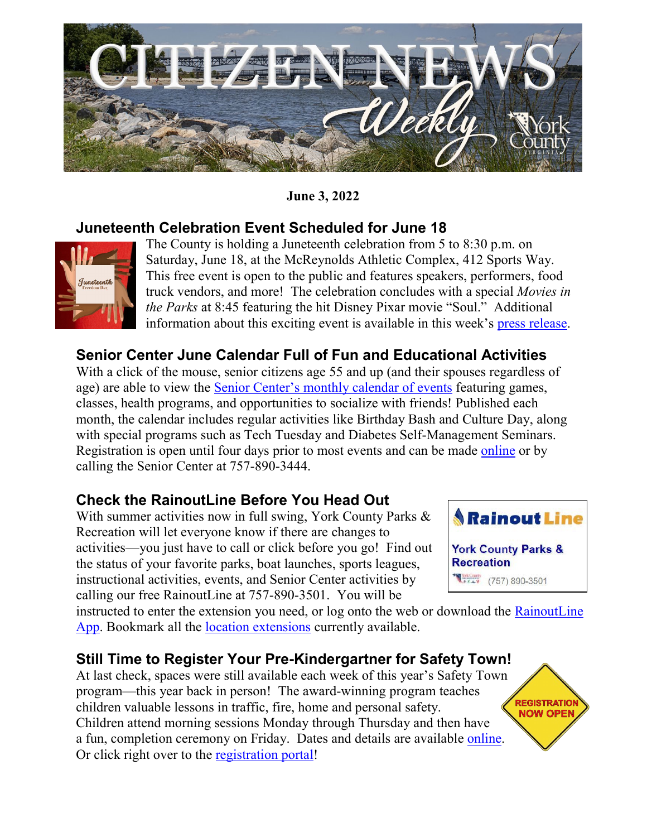

#### **June 3, 2022**

### **Juneteenth Celebration Event Scheduled for June 18**



The County is holding a Juneteenth celebration from 5 to 8:30 p.m. on Saturday, June 18, at the McReynolds Athletic Complex, 412 Sports Way. This free event is open to the public and features speakers, performers, food truck vendors, and more! The celebration concludes with a special *Movies in the Parks* at 8:45 featuring the hit Disney Pixar movie "Soul." Additional information about this exciting event is available in this week's [press release.](https://www.yorkcounty.gov/DocumentCenter/View/41799/York-Countys-Juneteenth-Celebration-Event-Scheduled-for-June-18)

## **Senior Center June Calendar Full of Fun and Educational Activities**

With a click of the mouse, senior citizens age 55 and up (and their spouses regardless of age) are able to view the **Senior Center's monthly calendar of events featuring games**, classes, health programs, and opportunities to socialize with friends! Published each month, the calendar includes regular activities like Birthday Bash and Culture Day, along with special programs such as Tech Tuesday and Diabetes Self-Management Seminars. Registration is open until four days prior to most events and can be made [online](https://recreation.yorkcounty.gov/wbwsc/webtrac.wsc/search.html?module=AR&type=SENR) or by calling the Senior Center at 757-890-3444.

### **Check the RainoutLine Before You Head Out**

With summer activities now in full swing, York County Parks & Recreation will let everyone know if there are changes to activities—you just have to call or click before you go! Find out the status of your favorite parks, boat launches, sports leagues, instructional activities, events, and Senior Center activities by calling our free RainoutLine at 757-890-3501. You will be



instructed to enter the extension you need, or log onto the web or download the [RainoutLine](https://rainoutline.com/search/dnis/7578903501)  [App.](https://rainoutline.com/search/dnis/7578903501) Bookmark all the [location extensions](https://rainoutline.com/search/dnis/7578903501) currently available.

### **Still Time to Register Your Pre-Kindergartner for Safety Town!**

At last check, spaces were still available each week of this year's Safety Town program—this year back in person! The award-winning program teaches children valuable lessons in traffic, fire, home and personal safety. Children attend morning sessions Monday through Thursday and then have a fun, completion ceremony on Friday. Dates and details are available [online.](https://www.yorkcounty.gov/601/Safety-Town) Or click right over to the [registration portal!](https://recreation.yorkcounty.gov/wbwsc/webtrac.wsc/search.html?Action=Start&SubAction=&type=&beginmonth=&endmonth=&subtype=&category=&age=&grade=&location=&keyword=Safety+Town&keywordoption=Match+One&sort=ActivityNumber&instructor=&daysofweek=&dayoption=All&timeblock=&primarycode=&gender=&display=Detail&spotsavailable=&bydayonly=No&beginyear=&season=&search=yes&page=&gotopagenow=&gotopage=1&module=AR&multiselectlist_value=&arwebsearch_buttonsearch=Search)